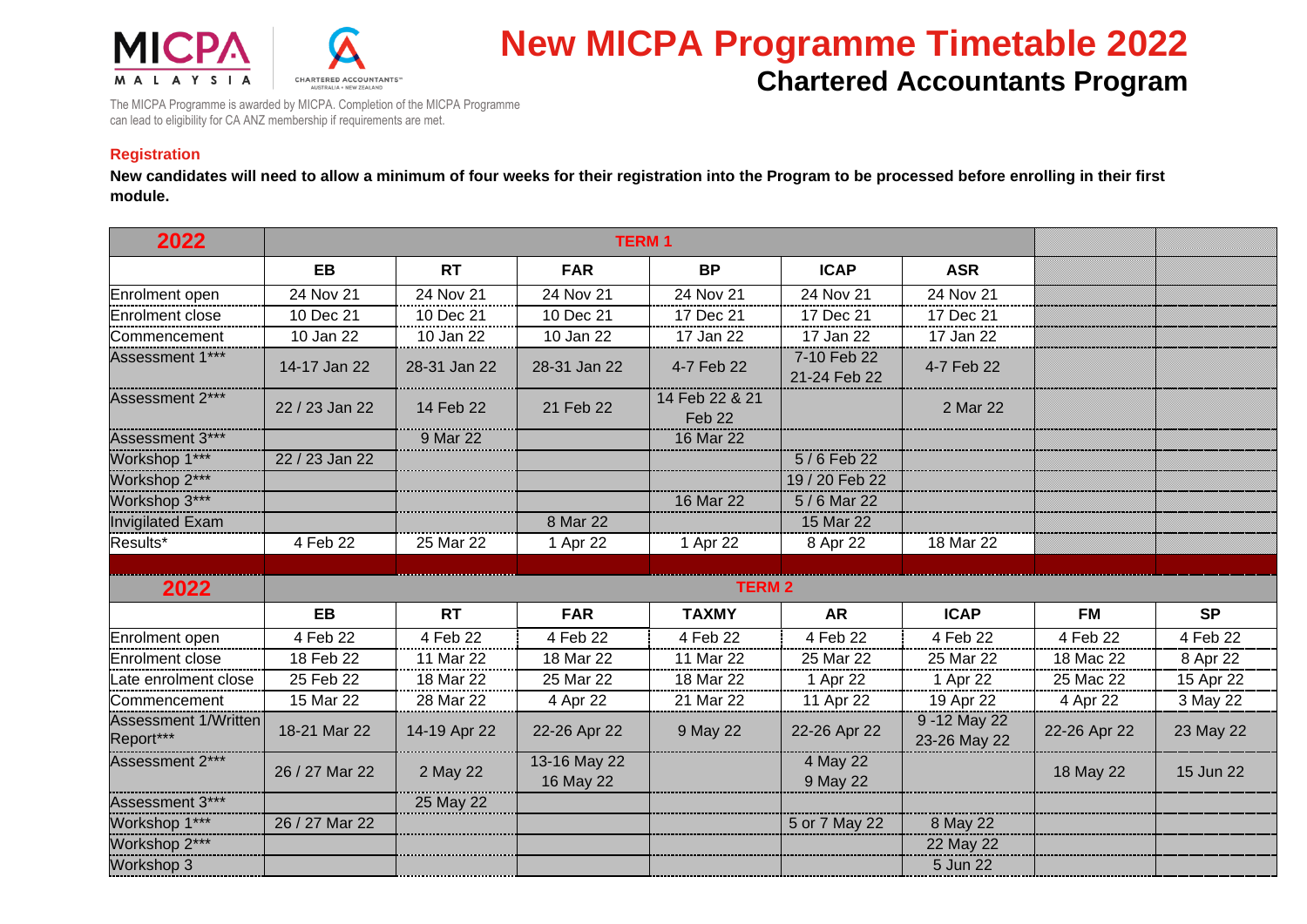



## **New MICPA Programme Timetable 2022 Chartered Accountants Program**

The MICPA Programme is awarded by MICPA. Completion of the MICPA Programme can lead to eligibility for CA ANZ membership if requirements are met.

## **Registration**

**New candidates will need to allow a minimum of four weeks for their registration into the Program to be processed before enrolling in their first module.**

| 2022                                     | <b>TERM1</b>   |              |                           |                          |                             |                               |              |           |
|------------------------------------------|----------------|--------------|---------------------------|--------------------------|-----------------------------|-------------------------------|--------------|-----------|
|                                          | <b>EB</b>      | <b>RT</b>    | <b>FAR</b>                | <b>BP</b>                | <b>ICAP</b>                 | <b>ASR</b>                    |              |           |
| Enrolment open                           | 24 Nov 21      | 24 Nov 21    | 24 Nov 21                 | 24 Nov 21                | 24 Nov 21                   | 24 Nov 21                     |              |           |
| Enrolment close                          | 10 Dec 21      | 10 Dec 21    | 10 Dec 21                 | 17 Dec 21                | 17 Dec 21                   | 17 Dec 21                     |              |           |
| Commencement                             | 10 Jan 22      | 10 Jan 22    | 10 Jan 22                 | 17 Jan 22                | 17 Jan 22                   | 17 Jan 22                     |              |           |
| Assessment 1***                          | 14-17 Jan 22   | 28-31 Jan 22 | 28-31 Jan 22              | 4-7 Feb 22               | 7-10 Feb 22<br>21-24 Feb 22 | 4-7 Feb 22                    |              |           |
| Assessment 2***                          | 22 / 23 Jan 22 | 14 Feb 22    | 21 Feb 22                 | 14 Feb 22 & 21<br>Feb 22 |                             | 2 Mar 22                      |              |           |
| Assessment 3***                          |                | 9 Mar 22     |                           | 16 Mar 22                |                             |                               |              |           |
| Workshop 1***                            | 22 / 23 Jan 22 |              |                           |                          | 5/6 Feb 22                  |                               |              |           |
| Workshop 2***                            |                |              |                           |                          | 19 / 20 Feb 22              |                               |              |           |
| Workshop 3***                            |                |              |                           | 16 Mar 22                | 5/6 Mar 22                  |                               |              |           |
| <b>Invigilated Exam</b>                  |                |              | 8 Mar 22                  |                          | 15 Mar 22                   |                               |              |           |
| Results*                                 | 4 Feb 22       | 25 Mar 22    | 1 Apr 22                  | 1 Apr 22                 | 8 Apr 22                    | 18 Mar 22                     |              |           |
|                                          |                |              |                           |                          |                             |                               |              |           |
| 2022                                     |                |              | <b>TERM 2</b>             |                          |                             |                               |              |           |
|                                          | <b>EB</b>      | <b>RT</b>    | <b>FAR</b>                | <b>TAXMY</b>             | <b>AR</b>                   | <b>ICAP</b>                   | <b>FM</b>    | <b>SP</b> |
| Enrolment open                           | 4 Feb 22       | 4 Feb 22     | 4 Feb 22                  | 4 Feb 22                 | 4 Feb 22                    | 4 Feb 22                      | 4 Feb 22     | 4 Feb 22  |
| Enrolment close                          | 18 Feb 22      | 11 Mar 22    | 18 Mar 22                 | 11 Mar 22                | 25 Mar 22                   | 25 Mar 22                     | 18 Mac 22    | 8 Apr 22  |
| Late enrolment close                     | 25 Feb 22      | 18 Mar 22    | 25 Mar 22                 | 18 Mar 22                | 1 Apr 22                    | 1 Apr 22                      | 25 Mac 22    | 15 Apr 22 |
| Commencement                             | 15 Mar 22      | 28 Mar 22    | 4 Apr 22                  | 21 Mar 22                | 11 Apr 22                   | 19 Apr 22                     | 4 Apr 22     | 3 May 22  |
| <b>Assessment 1/Written</b><br>Report*** | 18-21 Mar 22   | 14-19 Apr 22 | 22-26 Apr 22              | 9 May 22                 | 22-26 Apr 22                | 9 - 12 May 22<br>23-26 May 22 | 22-26 Apr 22 | 23 May 22 |
| Assessment 2***                          | 26 / 27 Mar 22 | 2 May 22     | 13-16 May 22<br>16 May 22 |                          | 4 May 22<br>9 May 22        |                               | 18 May 22    | 15 Jun 22 |
| Assessment 3***                          |                | 25 May 22    |                           |                          |                             |                               |              |           |
| Workshop 1***                            | 26 / 27 Mar 22 |              |                           |                          | 5 or 7 May 22               | 8 May 22                      |              |           |
| Workshop 2***                            |                |              |                           |                          |                             | 22 May 22                     |              |           |
| Workshop 3                               |                |              |                           |                          |                             | 5 Jun 22                      |              |           |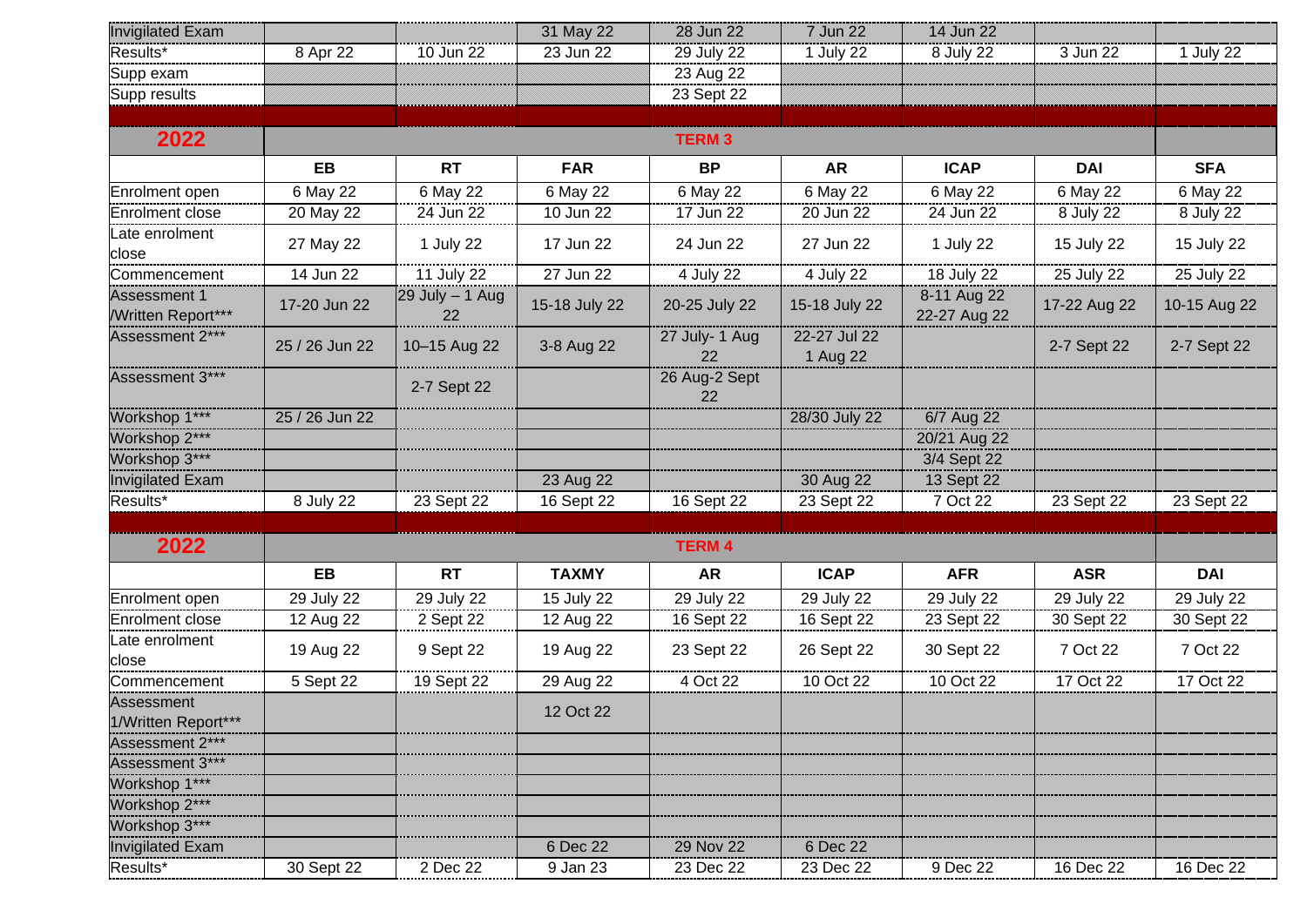| <b>Invigilated Exam</b>                         |                |                           | 31 May 22     | 28 Jun 22            | 7 Jun 22                 | 14 Jun 22                   |              |              |
|-------------------------------------------------|----------------|---------------------------|---------------|----------------------|--------------------------|-----------------------------|--------------|--------------|
| Results*                                        | 8 Apr 22       | 10 Jun 22                 | 23 Jun 22     | 29 July 22           | 1 July 22                | 8 July 22                   | 3 Jun 22     | 1 July 22    |
| Supp exam                                       |                |                           |               | 23 Aug 22            |                          |                             |              |              |
| Supp results                                    |                |                           |               | 23 Sept 22           |                          |                             |              |              |
|                                                 |                |                           |               |                      |                          |                             |              |              |
| 2022                                            | <b>TERM 3</b>  |                           |               |                      |                          |                             |              |              |
|                                                 | EB             | <b>RT</b>                 | <b>FAR</b>    | <b>BP</b>            | <b>AR</b>                | <b>ICAP</b>                 | <b>DAI</b>   | <b>SFA</b>   |
| Enrolment open                                  | 6 May 22       | 6 May 22                  | 6 May 22      | 6 May 22             | 6 May 22                 | $\overline{6}$ May 22       | 6 May 22     | 6 May 22     |
| <b>Enrolment close</b>                          | 20 May 22      | 24 Jun 22                 | 10 Jun 22     | 17 Jun 22            | 20 Jun 22                | 24 Jun 22                   | 8 July 22    | 8 July 22    |
| Late enrolment<br>close                         | 27 May 22      | 1 July 22                 | 17 Jun 22     | 24 Jun 22            | 27 Jun 22                | 1 July 22                   | 15 July 22   | 15 July 22   |
| Commencement                                    | 14 Jun 22      | 11 July 22                | 27 Jun 22     | 4 July 22            | 4 July 22                | 18 July 22                  | 25 July 22   | 25 July 22   |
| <b>Assessment 1</b><br><b>Written Report***</b> | 17-20 Jun 22   | $29$ July $-$ 1 Aug<br>22 | 15-18 July 22 | 20-25 July 22        | 15-18 July 22            | 8-11 Aug 22<br>22-27 Aug 22 | 17-22 Aug 22 | 10-15 Aug 22 |
| Assessment 2***                                 | 25 / 26 Jun 22 | 10-15 Aug 22              | 3-8 Aug 22    | 27 July- 1 Aug<br>22 | 22-27 Jul 22<br>1 Aug 22 |                             | 2-7 Sept 22  | 2-7 Sept 22  |
| Assessment 3***                                 |                | 2-7 Sept 22               |               | 26 Aug-2 Sept<br>22  |                          |                             |              |              |
| Workshop 1***                                   | 25 / 26 Jun 22 |                           |               |                      | 28/30 July 22            | 6/7 Aug 22                  |              |              |
| Workshop 2***                                   |                |                           |               |                      |                          | 20/21 Aug 22                |              |              |
| Workshop 3***                                   |                |                           |               |                      |                          | 3/4 Sept 22                 |              |              |
| <b>Invigilated Exam</b>                         |                |                           | 23 Aug 22     |                      | 30 Aug 22                | 13 Sept 22                  |              |              |
| Results*                                        | 8 July 22      | 23 Sept 22                | 16 Sept 22    | 16 Sept 22           | 23 Sept 22               | 7 Oct 22                    | 23 Sept 22   | 23 Sept 22   |
|                                                 |                |                           |               |                      |                          |                             |              |              |
| 2022                                            | <b>TERM 4</b>  |                           |               |                      |                          |                             |              |              |
|                                                 | EB             | <b>RT</b>                 | <b>TAXMY</b>  | <b>AR</b>            | <b>ICAP</b>              | <b>AFR</b>                  | <b>ASR</b>   | <b>DAI</b>   |
| Enrolment open                                  | 29 July 22     | 29 July 22                | 15 July 22    | 29 July 22           | 29 July 22               | 29 July 22                  | 29 July 22   | 29 July 22   |
| Enrolment close                                 | 12 Aug 22      | 2 Sept 22                 | 12 Aug 22     | 16 Sept 22           | 16 Sept 22               | 23 Sept 22                  | 30 Sept 22   | 30 Sept 22   |
| Late enrolment<br>close                         | 19 Aug 22      | 9 Sept 22                 | 19 Aug 22     | 23 Sept 22           | 26 Sept 22               | 30 Sept 22                  | 7 Oct 22     | 7 Oct 22     |
| Commencement                                    | 5 Sept 22      | 19 Sept 22                | 29 Aug 22     | 4 Oct 22             | 10 Oct 22                | 10 Oct 22                   | 17 Oct 22    | 17 Oct 22    |
| Assessment                                      |                |                           | 12 Oct 22     |                      |                          |                             |              |              |
| 1/Written Report***                             |                |                           |               |                      |                          |                             |              |              |
| Assessment 2***                                 |                |                           |               |                      |                          |                             |              |              |
| Assessment 3***                                 |                |                           |               |                      |                          |                             |              |              |
| Workshop 1***                                   |                |                           |               |                      |                          |                             |              |              |
| Workshop 2***                                   |                |                           |               |                      |                          |                             |              |              |
| Workshop 3***                                   |                |                           |               |                      |                          |                             |              |              |
| <b>Invigilated Exam</b>                         |                |                           | 6 Dec 22      | 29 Nov 22            | 6 Dec 22                 |                             |              |              |
| Results*                                        | 30 Sept 22     | 2 Dec 22                  | 9 Jan 23      | 23 Dec 22            | 23 Dec 22                | 9 Dec 22                    | 16 Dec 22    | 16 Dec 22    |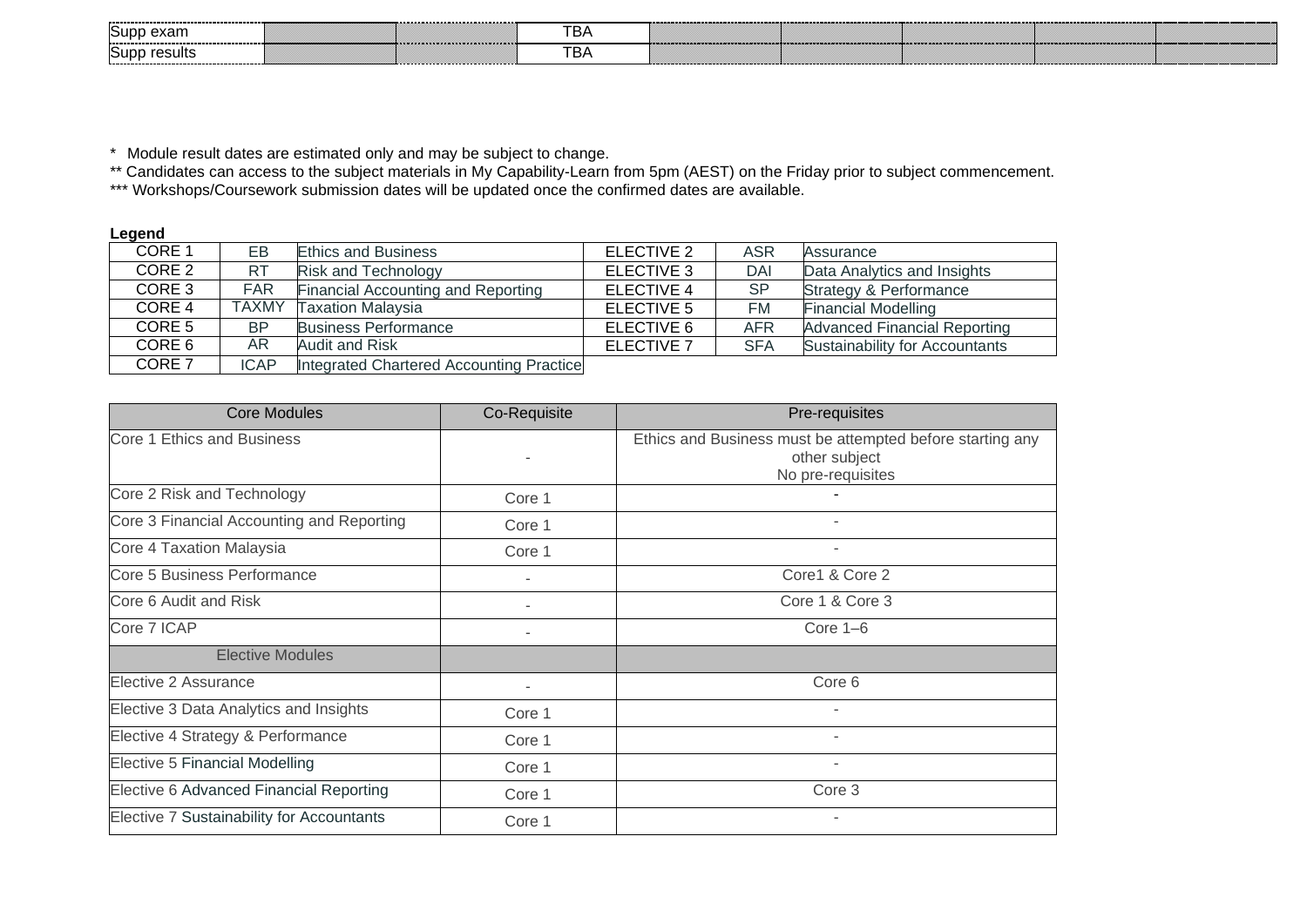| <br>Supp exam<br>. | <br>---<br>Dr | ,,,,,,,,,,,,,,,,,,,,,,,,,,,,,,,<br>,,,,,,,,,,,,,,,,,,,,,,,,, |
|--------------------|---------------|--------------------------------------------------------------|
| SUDP.<br>ะรนแร     | Dr            |                                                              |

\* Module result dates are estimated only and may be subject to change.

\*\* Candidates can access to the subject materials in My Capability-Learn from 5pm (AEST) on the Friday prior to subject commencement.

\*\*\* Workshops/Coursework submission dates will be updated once the confirmed dates are available.

| -------           |              |                                          |                   |            |                                       |
|-------------------|--------------|------------------------------------------|-------------------|------------|---------------------------------------|
| CORE 1            | EВ           | <b>Ethics and Business</b>               | ELECTIVE 2        | ASR        | Assurance                             |
| CORE 2            | <b>RT</b>    | <b>Risk and Technology</b>               | ELECTIVE 3        | DAI        | Data Analytics and Insights           |
| CORE 3            | <b>FAR</b>   | Financial Accounting and Reporting       | <b>ELECTIVE 4</b> | <b>SP</b>  | <b>Strategy &amp; Performance</b>     |
| CORE <sub>4</sub> | <b>TAXMY</b> | <b>Taxation Malaysia</b>                 | ELECTIVE 5        | FM         | <b>Financial Modelling</b>            |
| CORE 5            | <b>BP</b>    | <b>Business Performance</b>              | ELECTIVE 6        | <b>AFR</b> | <b>Advanced Financial Reporting</b>   |
| CORE 6            | AR.          | Audit and Risk                           | ELECTIVE 7        | <b>SFA</b> | <b>Sustainability for Accountants</b> |
| CORE <sub>7</sub> | <b>ICAP</b>  | Integrated Chartered Accounting Practice |                   |            |                                       |

| <b>Core Modules</b>                       | Co-Requisite | Pre-requisites                                                                                  |
|-------------------------------------------|--------------|-------------------------------------------------------------------------------------------------|
| Core 1 Ethics and Business                |              | Ethics and Business must be attempted before starting any<br>other subject<br>No pre-requisites |
| Core 2 Risk and Technology                | Core 1       |                                                                                                 |
| Core 3 Financial Accounting and Reporting | Core 1       |                                                                                                 |
| Core 4 Taxation Malaysia                  | Core 1       |                                                                                                 |
| Core 5 Business Performance               |              | Core1 & Core 2                                                                                  |
| Core 6 Audit and Risk                     |              | Core 1 & Core 3                                                                                 |
| Core 7 ICAP                               |              | Core $1-6$                                                                                      |
| <b>Elective Modules</b>                   |              |                                                                                                 |
| Elective 2 Assurance                      |              | Core 6                                                                                          |
| Elective 3 Data Analytics and Insights    | Core 1       |                                                                                                 |
| Elective 4 Strategy & Performance         | Core 1       |                                                                                                 |
| Elective 5 Financial Modelling            | Core 1       | ٠                                                                                               |
| Elective 6 Advanced Financial Reporting   | Core 1       | Core 3                                                                                          |
| Elective 7 Sustainability for Accountants | Core 1       |                                                                                                 |